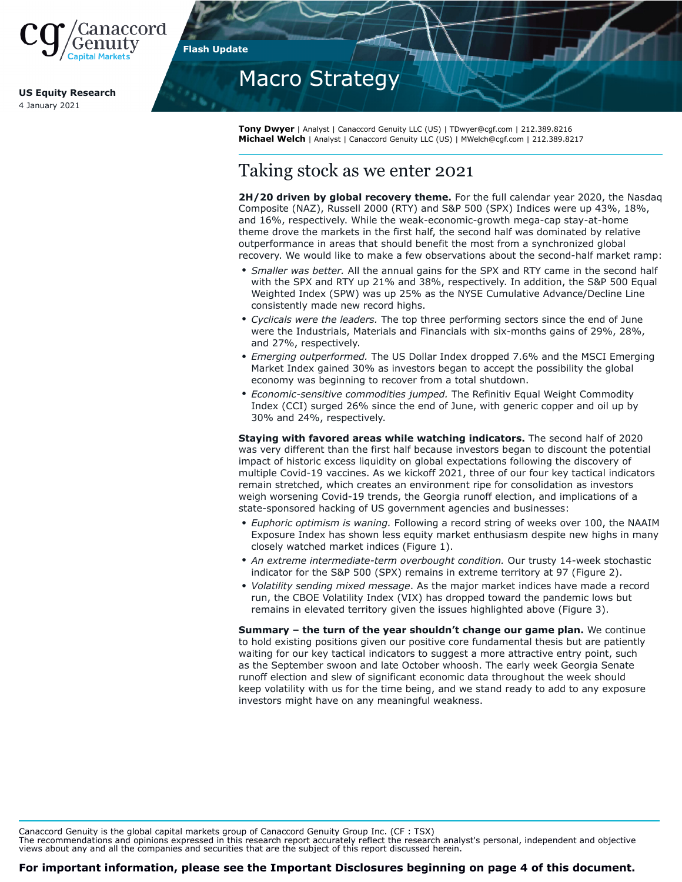

**US Equity Research** 4 January 2021

**Flash Update**

# Macro Strategy

**Tony Dwyer** | Analyst | Canaccord Genuity LLC (US) | TDwyer@cgf.com | 212.389.8216 **Michael Welch** | Analyst | Canaccord Genuity LLC (US) | MWelch@cgf.com | 212.389.8217

# Taking stock as we enter 2021

**2H/20 driven by global recovery theme.** For the full calendar year 2020, the Nasdaq Composite (NAZ), Russell 2000 (RTY) and S&P 500 (SPX) Indices were up 43%, 18%, and 16%, respectively. While the weak-economic-growth mega-cap stay-at-home theme drove the markets in the first half, the second half was dominated by relative outperformance in areas that should benefit the most from a synchronized global recovery. We would like to make a few observations about the second-half market ramp:

- *Smaller was better.* All the annual gains for the SPX and RTY came in the second half with the SPX and RTY up 21% and 38%, respectively. In addition, the S&P 500 Equal Weighted Index (SPW) was up 25% as the NYSE Cumulative Advance/Decline Line consistently made new record highs.
- *Cyclicals were the leaders.* The top three performing sectors since the end of June were the Industrials, Materials and Financials with six-months gains of 29%, 28%, and 27%, respectively.
- *Emerging outperformed.* The US Dollar Index dropped 7.6% and the MSCI Emerging Market Index gained 30% as investors began to accept the possibility the global economy was beginning to recover from a total shutdown.
- *Economic-sensitive commodities jumped.* The Refinitiv Equal Weight Commodity Index (CCI) surged 26% since the end of June, with generic copper and oil up by 30% and 24%, respectively.

**Staying with favored areas while watching indicators.** The second half of 2020 was very different than the first half because investors began to discount the potential impact of historic excess liquidity on global expectations following the discovery of multiple Covid-19 vaccines. As we kickoff 2021, three of our four key tactical indicators remain stretched, which creates an environment ripe for consolidation as investors weigh worsening Covid-19 trends, the Georgia runoff election, and implications of a state-sponsored hacking of US government agencies and businesses:

- *Euphoric optimism is waning.* Following a record string of weeks over 100, the NAAIM Exposure Index has shown less equity market enthusiasm despite new highs in many closely watched market indices (Figure 1).
- *An extreme intermediate-term overbought condition.* Our trusty 14-week stochastic indicator for the S&P 500 (SPX) remains in extreme territory at 97 (Figure 2).
- *Volatility sending mixed message*. As the major market indices have made a record run, the CBOE Volatility Index (VIX) has dropped toward the pandemic lows but remains in elevated territory given the issues highlighted above (Figure 3).

**Summary – the turn of the year shouldn't change our game plan.** We continue to hold existing positions given our positive core fundamental thesis but are patiently waiting for our key tactical indicators to suggest a more attractive entry point, such as the September swoon and late October whoosh. The early week Georgia Senate runoff election and slew of significant economic data throughout the week should keep volatility with us for the time being, and we stand ready to add to any exposure investors might have on any meaningful weakness.

Canaccord Genuity is the global capital markets group of Canaccord Genuity Group Inc. (CF : TSX)

The recommendations and opinions expressed in this research report accurately reflect the research analyst's personal, independent and objective views about any and all the companies and securities that are the subject of this report discussed herein.

**For important information, please see the Important Disclosures beginning on page 4 of this document.**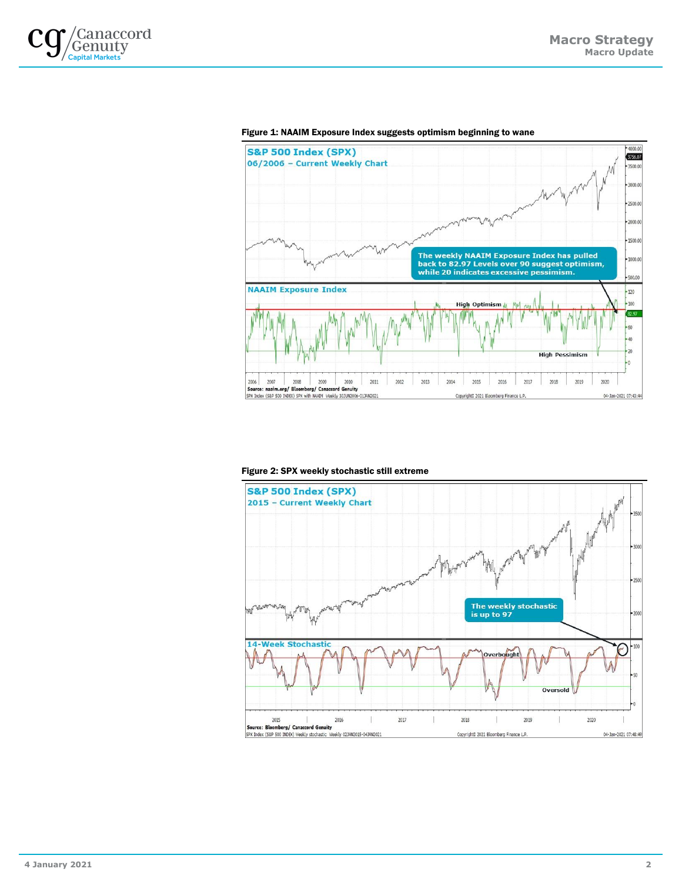



#### Figure 1: NAAIM Exposure Index suggests optimism beginning to wane

#### Figure 2: SPX weekly stochastic still extreme

2

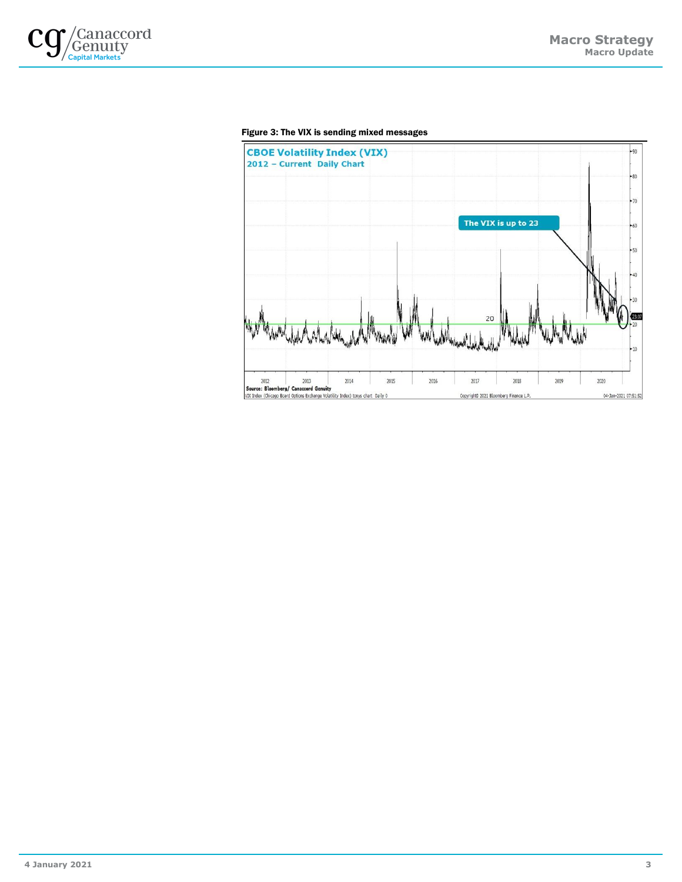

#### Figure 3: The VIX is sending mixed messages



3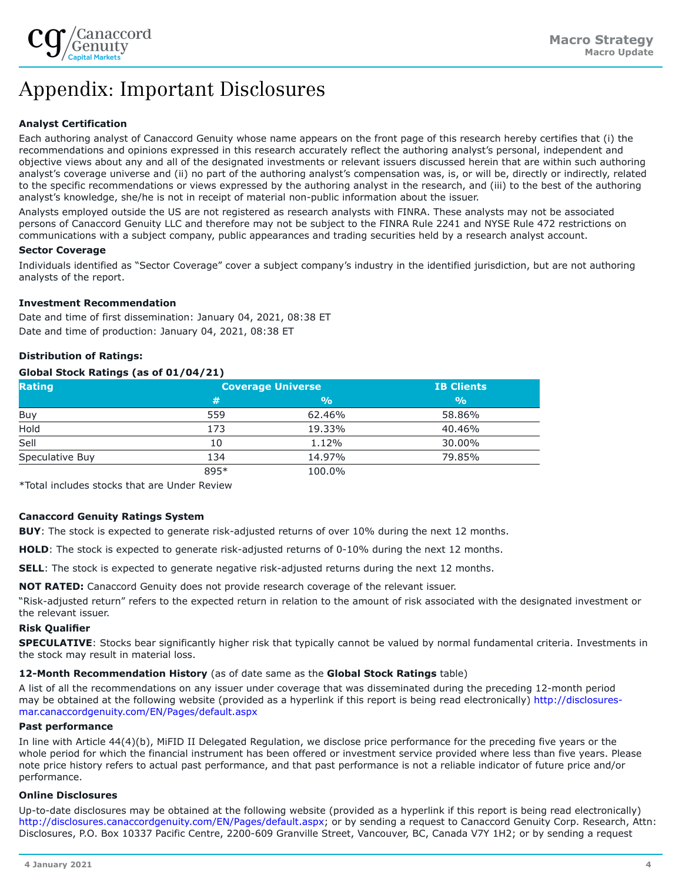

# Appendix: Important Disclosures

# **Analyst Certification**

Each authoring analyst of Canaccord Genuity whose name appears on the front page of this research hereby certifies that (i) the recommendations and opinions expressed in this research accurately reflect the authoring analyst's personal, independent and objective views about any and all of the designated investments or relevant issuers discussed herein that are within such authoring analyst's coverage universe and (ii) no part of the authoring analyst's compensation was, is, or will be, directly or indirectly, related to the specific recommendations or views expressed by the authoring analyst in the research, and (iii) to the best of the authoring analyst's knowledge, she/he is not in receipt of material non-public information about the issuer.

Analysts employed outside the US are not registered as research analysts with FINRA. These analysts may not be associated persons of Canaccord Genuity LLC and therefore may not be subject to the FINRA Rule 2241 and NYSE Rule 472 restrictions on communications with a subject company, public appearances and trading securities held by a research analyst account.

### **Sector Coverage**

Individuals identified as "Sector Coverage" cover a subject company's industry in the identified jurisdiction, but are not authoring analysts of the report.

# **Investment Recommendation**

Date and time of first dissemination: January 04, 2021, 08:38 ET Date and time of production: January 04, 2021, 08:38 ET

# **Distribution of Ratings:**

### **Global Stock Ratings (as of 01/04/21)**

| <b>Rating</b>   | <b>Coverage Universe</b> |               | <b>IB Clients</b> |
|-----------------|--------------------------|---------------|-------------------|
|                 | 1#                       | $\frac{0}{0}$ | $\frac{0}{0}$     |
| Buy             | 559                      | 62.46%        | 58.86%            |
| Hold            | 173                      | 19.33%        | 40.46%            |
| Sell            | 10                       | 1.12%         | 30.00%            |
| Speculative Buy | 134                      | 14.97%        | 79.85%            |
|                 | 895*                     | 100.0%        |                   |

\*Total includes stocks that are Under Review

#### **Canaccord Genuity Ratings System**

**BUY**: The stock is expected to generate risk-adjusted returns of over 10% during the next 12 months.

**HOLD**: The stock is expected to generate risk-adjusted returns of 0-10% during the next 12 months.

**SELL**: The stock is expected to generate negative risk-adjusted returns during the next 12 months.

**NOT RATED:** Canaccord Genuity does not provide research coverage of the relevant issuer.

"Risk-adjusted return" refers to the expected return in relation to the amount of risk associated with the designated investment or the relevant issuer.

#### **Risk Qualifier**

**SPECULATIVE**: Stocks bear significantly higher risk that typically cannot be valued by normal fundamental criteria. Investments in the stock may result in material loss.

#### **12-Month Recommendation History** (as of date same as the **Global Stock Ratings** table)

A list of all the recommendations on any issuer under coverage that was disseminated during the preceding 12-month period may be obtained at the following website (provided as a hyperlink if this report is being read electronically) [http://disclosures](http://disclosures-mar.canaccordgenuity.com/EN/Pages/default.aspx)[mar.canaccordgenuity.com/EN/Pages/default.aspx](http://disclosures-mar.canaccordgenuity.com/EN/Pages/default.aspx)

#### **Past performance**

In line with Article 44(4)(b), MiFID II Delegated Regulation, we disclose price performance for the preceding five years or the whole period for which the financial instrument has been offered or investment service provided where less than five years. Please note price history refers to actual past performance, and that past performance is not a reliable indicator of future price and/or performance.

#### **Online Disclosures**

Up-to-date disclosures may be obtained at the following website (provided as a hyperlink if this report is being read electronically) <http://disclosures.canaccordgenuity.com/EN/Pages/default.aspx>; or by sending a request to Canaccord Genuity Corp. Research, Attn: Disclosures, P.O. Box 10337 Pacific Centre, 2200-609 Granville Street, Vancouver, BC, Canada V7Y 1H2; or by sending a request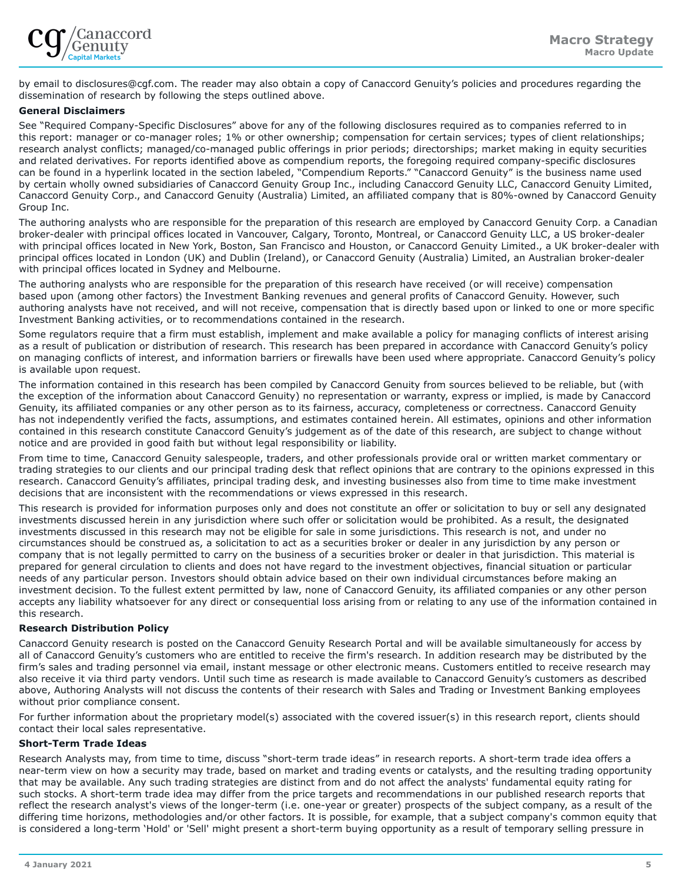

by email to disclosures@cgf.com. The reader may also obtain a copy of Canaccord Genuity's policies and procedures regarding the dissemination of research by following the steps outlined above.

#### **General Disclaimers**

See "Required Company-Specific Disclosures" above for any of the following disclosures required as to companies referred to in this report: manager or co-manager roles; 1% or other ownership; compensation for certain services; types of client relationships; research analyst conflicts; managed/co-managed public offerings in prior periods; directorships; market making in equity securities and related derivatives. For reports identified above as compendium reports, the foregoing required company-specific disclosures can be found in a hyperlink located in the section labeled, "Compendium Reports." "Canaccord Genuity" is the business name used by certain wholly owned subsidiaries of Canaccord Genuity Group Inc., including Canaccord Genuity LLC, Canaccord Genuity Limited, Canaccord Genuity Corp., and Canaccord Genuity (Australia) Limited, an affiliated company that is 80%-owned by Canaccord Genuity Group Inc.

The authoring analysts who are responsible for the preparation of this research are employed by Canaccord Genuity Corp. a Canadian broker-dealer with principal offices located in Vancouver, Calgary, Toronto, Montreal, or Canaccord Genuity LLC, a US broker-dealer with principal offices located in New York, Boston, San Francisco and Houston, or Canaccord Genuity Limited., a UK broker-dealer with principal offices located in London (UK) and Dublin (Ireland), or Canaccord Genuity (Australia) Limited, an Australian broker-dealer with principal offices located in Sydney and Melbourne.

The authoring analysts who are responsible for the preparation of this research have received (or will receive) compensation based upon (among other factors) the Investment Banking revenues and general profits of Canaccord Genuity. However, such authoring analysts have not received, and will not receive, compensation that is directly based upon or linked to one or more specific Investment Banking activities, or to recommendations contained in the research.

Some regulators require that a firm must establish, implement and make available a policy for managing conflicts of interest arising as a result of publication or distribution of research. This research has been prepared in accordance with Canaccord Genuity's policy on managing conflicts of interest, and information barriers or firewalls have been used where appropriate. Canaccord Genuity's policy is available upon request.

The information contained in this research has been compiled by Canaccord Genuity from sources believed to be reliable, but (with the exception of the information about Canaccord Genuity) no representation or warranty, express or implied, is made by Canaccord Genuity, its affiliated companies or any other person as to its fairness, accuracy, completeness or correctness. Canaccord Genuity has not independently verified the facts, assumptions, and estimates contained herein. All estimates, opinions and other information contained in this research constitute Canaccord Genuity's judgement as of the date of this research, are subject to change without notice and are provided in good faith but without legal responsibility or liability.

From time to time, Canaccord Genuity salespeople, traders, and other professionals provide oral or written market commentary or trading strategies to our clients and our principal trading desk that reflect opinions that are contrary to the opinions expressed in this research. Canaccord Genuity's affiliates, principal trading desk, and investing businesses also from time to time make investment decisions that are inconsistent with the recommendations or views expressed in this research.

This research is provided for information purposes only and does not constitute an offer or solicitation to buy or sell any designated investments discussed herein in any jurisdiction where such offer or solicitation would be prohibited. As a result, the designated investments discussed in this research may not be eligible for sale in some jurisdictions. This research is not, and under no circumstances should be construed as, a solicitation to act as a securities broker or dealer in any jurisdiction by any person or company that is not legally permitted to carry on the business of a securities broker or dealer in that jurisdiction. This material is prepared for general circulation to clients and does not have regard to the investment objectives, financial situation or particular needs of any particular person. Investors should obtain advice based on their own individual circumstances before making an investment decision. To the fullest extent permitted by law, none of Canaccord Genuity, its affiliated companies or any other person accepts any liability whatsoever for any direct or consequential loss arising from or relating to any use of the information contained in this research.

#### **Research Distribution Policy**

Canaccord Genuity research is posted on the Canaccord Genuity Research Portal and will be available simultaneously for access by all of Canaccord Genuity's customers who are entitled to receive the firm's research. In addition research may be distributed by the firm's sales and trading personnel via email, instant message or other electronic means. Customers entitled to receive research may also receive it via third party vendors. Until such time as research is made available to Canaccord Genuity's customers as described above, Authoring Analysts will not discuss the contents of their research with Sales and Trading or Investment Banking employees without prior compliance consent.

For further information about the proprietary model(s) associated with the covered issuer(s) in this research report, clients should contact their local sales representative.

#### **Short-Term Trade Ideas**

Research Analysts may, from time to time, discuss "short-term trade ideas" in research reports. A short-term trade idea offers a near-term view on how a security may trade, based on market and trading events or catalysts, and the resulting trading opportunity that may be available. Any such trading strategies are distinct from and do not affect the analysts' fundamental equity rating for such stocks. A short-term trade idea may differ from the price targets and recommendations in our published research reports that reflect the research analyst's views of the longer-term (i.e. one-year or greater) prospects of the subject company, as a result of the differing time horizons, methodologies and/or other factors. It is possible, for example, that a subject company's common equity that is considered a long-term 'Hold' or 'Sell' might present a short-term buying opportunity as a result of temporary selling pressure in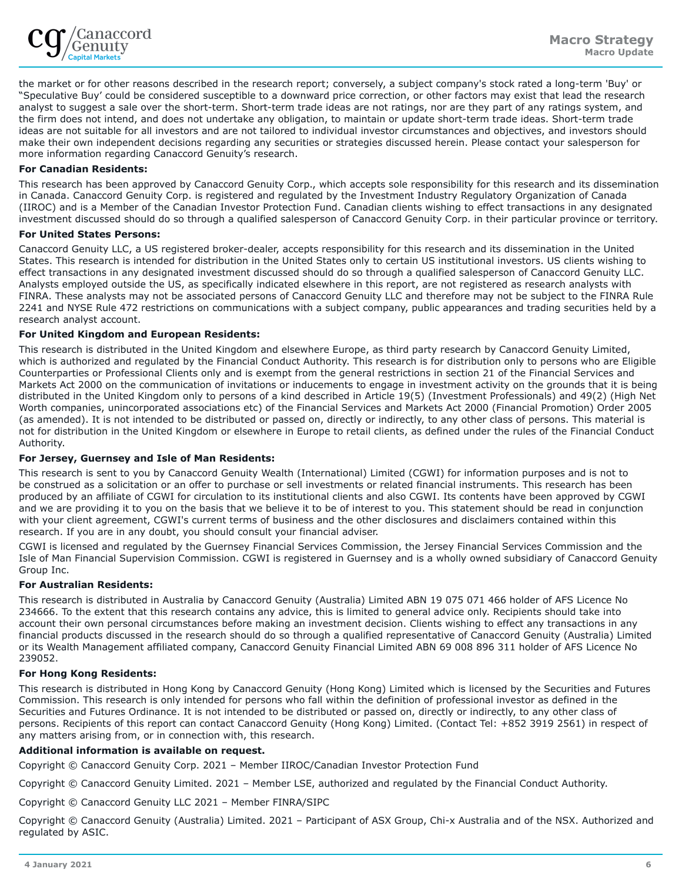

the market or for other reasons described in the research report; conversely, a subject company's stock rated a long-term 'Buy' or "Speculative Buy' could be considered susceptible to a downward price correction, or other factors may exist that lead the research analyst to suggest a sale over the short-term. Short-term trade ideas are not ratings, nor are they part of any ratings system, and the firm does not intend, and does not undertake any obligation, to maintain or update short-term trade ideas. Short-term trade ideas are not suitable for all investors and are not tailored to individual investor circumstances and objectives, and investors should make their own independent decisions regarding any securities or strategies discussed herein. Please contact your salesperson for more information regarding Canaccord Genuity's research.

# **For Canadian Residents:**

This research has been approved by Canaccord Genuity Corp., which accepts sole responsibility for this research and its dissemination in Canada. Canaccord Genuity Corp. is registered and regulated by the Investment Industry Regulatory Organization of Canada (IIROC) and is a Member of the Canadian Investor Protection Fund. Canadian clients wishing to effect transactions in any designated investment discussed should do so through a qualified salesperson of Canaccord Genuity Corp. in their particular province or territory.

#### **For United States Persons:**

Canaccord Genuity LLC, a US registered broker-dealer, accepts responsibility for this research and its dissemination in the United States. This research is intended for distribution in the United States only to certain US institutional investors. US clients wishing to effect transactions in any designated investment discussed should do so through a qualified salesperson of Canaccord Genuity LLC. Analysts employed outside the US, as specifically indicated elsewhere in this report, are not registered as research analysts with FINRA. These analysts may not be associated persons of Canaccord Genuity LLC and therefore may not be subject to the FINRA Rule 2241 and NYSE Rule 472 restrictions on communications with a subject company, public appearances and trading securities held by a research analyst account.

#### **For United Kingdom and European Residents:**

This research is distributed in the United Kingdom and elsewhere Europe, as third party research by Canaccord Genuity Limited, which is authorized and regulated by the Financial Conduct Authority. This research is for distribution only to persons who are Eligible Counterparties or Professional Clients only and is exempt from the general restrictions in section 21 of the Financial Services and Markets Act 2000 on the communication of invitations or inducements to engage in investment activity on the grounds that it is being distributed in the United Kingdom only to persons of a kind described in Article 19(5) (Investment Professionals) and 49(2) (High Net Worth companies, unincorporated associations etc) of the Financial Services and Markets Act 2000 (Financial Promotion) Order 2005 (as amended). It is not intended to be distributed or passed on, directly or indirectly, to any other class of persons. This material is not for distribution in the United Kingdom or elsewhere in Europe to retail clients, as defined under the rules of the Financial Conduct Authority.

#### **For Jersey, Guernsey and Isle of Man Residents:**

This research is sent to you by Canaccord Genuity Wealth (International) Limited (CGWI) for information purposes and is not to be construed as a solicitation or an offer to purchase or sell investments or related financial instruments. This research has been produced by an affiliate of CGWI for circulation to its institutional clients and also CGWI. Its contents have been approved by CGWI and we are providing it to you on the basis that we believe it to be of interest to you. This statement should be read in conjunction with your client agreement, CGWI's current terms of business and the other disclosures and disclaimers contained within this research. If you are in any doubt, you should consult your financial adviser.

CGWI is licensed and regulated by the Guernsey Financial Services Commission, the Jersey Financial Services Commission and the Isle of Man Financial Supervision Commission. CGWI is registered in Guernsey and is a wholly owned subsidiary of Canaccord Genuity Group Inc.

#### **For Australian Residents:**

This research is distributed in Australia by Canaccord Genuity (Australia) Limited ABN 19 075 071 466 holder of AFS Licence No 234666. To the extent that this research contains any advice, this is limited to general advice only. Recipients should take into account their own personal circumstances before making an investment decision. Clients wishing to effect any transactions in any financial products discussed in the research should do so through a qualified representative of Canaccord Genuity (Australia) Limited or its Wealth Management affiliated company, Canaccord Genuity Financial Limited ABN 69 008 896 311 holder of AFS Licence No 239052.

#### **For Hong Kong Residents:**

This research is distributed in Hong Kong by Canaccord Genuity (Hong Kong) Limited which is licensed by the Securities and Futures Commission. This research is only intended for persons who fall within the definition of professional investor as defined in the Securities and Futures Ordinance. It is not intended to be distributed or passed on, directly or indirectly, to any other class of persons. Recipients of this report can contact Canaccord Genuity (Hong Kong) Limited. (Contact Tel: +852 3919 2561) in respect of any matters arising from, or in connection with, this research.

#### **Additional information is available on request.**

Copyright © Canaccord Genuity Corp. 2021 – Member IIROC/Canadian Investor Protection Fund

Copyright © Canaccord Genuity Limited. 2021 – Member LSE, authorized and regulated by the Financial Conduct Authority.

Copyright © Canaccord Genuity LLC 2021 – Member FINRA/SIPC

Copyright © Canaccord Genuity (Australia) Limited. 2021 – Participant of ASX Group, Chi-x Australia and of the NSX. Authorized and regulated by ASIC.